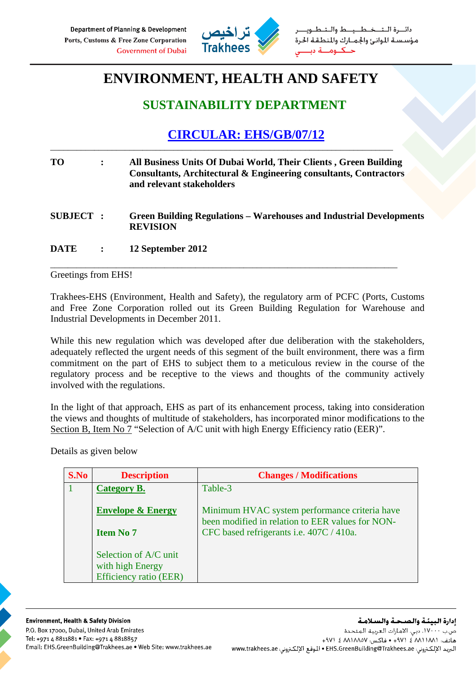

خطيط والت مؤسسة الموانئ والجمارك والمنطقة الحرة

## **ENVIRONMENT, HEALTH AND SAFETY**

## **SUSTAINABILITY DEPARTMENT**

## **CIRCULAR: EHS/GB/07/12**

| TO              | $\ddot{\cdot}$ | All Business Units Of Dubai World, Their Clients, Green Building<br>Consultants, Architectural & Engineering consultants, Contractors<br>and relevant stakeholders |  |
|-----------------|----------------|--------------------------------------------------------------------------------------------------------------------------------------------------------------------|--|
| <b>SUBJECT:</b> |                | <b>Green Building Regulations – Warehouses and Industrial Developments</b><br><b>REVISION</b>                                                                      |  |
| <b>DATE</b>     |                | 12 September 2012                                                                                                                                                  |  |

\_\_\_\_\_\_\_\_\_\_\_\_\_\_\_\_\_\_\_\_\_\_\_\_\_\_\_\_\_\_\_\_\_\_\_\_\_\_\_\_\_\_\_\_\_\_\_\_\_\_\_\_\_\_\_\_\_\_\_\_\_\_\_\_\_\_\_\_\_\_\_\_\_\_\_\_\_\_\_

\_\_\_\_\_\_\_\_\_\_\_\_\_\_\_\_\_\_\_\_\_\_\_\_\_\_\_\_\_\_\_\_\_\_\_\_\_\_\_\_\_\_\_\_\_\_\_\_\_\_\_\_\_\_\_\_\_\_\_\_\_\_\_\_\_\_\_\_\_\_\_\_\_\_\_\_\_\_

Greetings from EHS!

Trakhees-EHS (Environment, Health and Safety), the regulatory arm of PCFC (Ports, Customs and Free Zone Corporation rolled out its Green Building Regulation for Warehouse and Industrial Developments in December 2011.

While this new regulation which was developed after due deliberation with the stakeholders, adequately reflected the urgent needs of this segment of the built environment, there was a firm commitment on the part of EHS to subject them to a meticulous review in the course of the regulatory process and be receptive to the views and thoughts of the community actively involved with the regulations.

In the light of that approach, EHS as part of its enhancement process, taking into consideration the views and thoughts of multitude of stakeholders, has incorporated minor modifications to the Section B, Item No 7 "Selection of A/C unit with high Energy Efficiency ratio (EER)".

Details as given below

| S.No | <b>Description</b>            | <b>Changes / Modifications</b>                                                                    |
|------|-------------------------------|---------------------------------------------------------------------------------------------------|
|      | Category B.                   | Table-3                                                                                           |
|      | <b>Envelope &amp; Energy</b>  | Minimum HVAC system performance criteria have<br>been modified in relation to EER values for NON- |
|      | <b>Item No 7</b>              | CFC based refrigerants i.e. 407C / 410a.                                                          |
|      | Selection of A/C unit         |                                                                                                   |
|      | with high Energy              |                                                                                                   |
|      | <b>Efficiency ratio (EER)</b> |                                                                                                   |